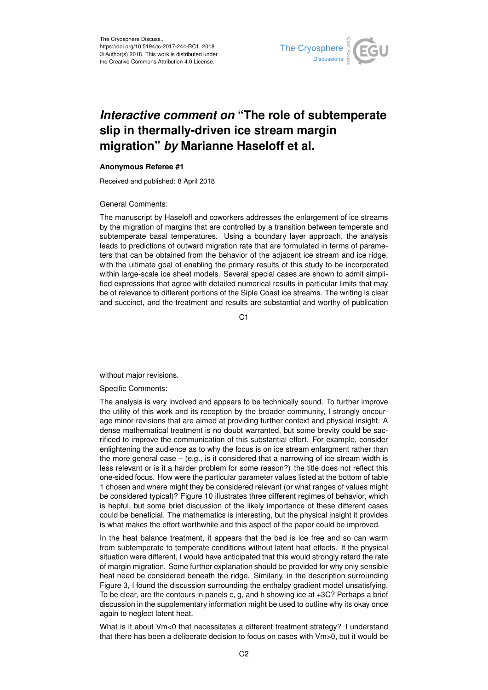

## *Interactive comment on* **"The role of subtemperate slip in thermally-driven ice stream margin migration"** *by* **Marianne Haseloff et al.**

## **Anonymous Referee #1**

Received and published: 8 April 2018

## General Comments:

The manuscript by Haseloff and coworkers addresses the enlargement of ice streams by the migration of margins that are controlled by a transition between temperate and subtemperate basal temperatures. Using a boundary layer approach, the analysis leads to predictions of outward migration rate that are formulated in terms of parameters that can be obtained from the behavior of the adjacent ice stream and ice ridge, with the ultimate goal of enabling the primary results of this study to be incorporated within large-scale ice sheet models. Several special cases are shown to admit simplified expressions that agree with detailed numerical results in particular limits that may be of relevance to different portions of the Siple Coast ice streams. The writing is clear and succinct, and the treatment and results are substantial and worthy of publication

C<sub>1</sub>

without major revisions.

Specific Comments:

The analysis is very involved and appears to be technically sound. To further improve the utility of this work and its reception by the broader community, I strongly encourage minor revisions that are aimed at providing further context and physical insight. A dense mathematical treatment is no doubt warranted, but some brevity could be sacrificed to improve the communication of this substantial effort. For example, consider enlightening the audience as to why the focus is on ice stream enlargment rather than the more general case  $-$  (e.g., is it considered that a narrowing of ice stream width is less relevant or is it a harder problem for some reason?) the title does not reflect this one-sided focus. How were the particular parameter values listed at the bottom of table 1 chosen and where might they be considered relevant (or what ranges of values might be considered typical)? Figure 10 illustrates three different regimes of behavior, which is hepful, but some brief discussion of the likely importance of these different cases could be beneficial. The mathematics is interesting, but the physical insight it provides is what makes the effort worthwhile and this aspect of the paper could be improved.

In the heat balance treatment, it appears that the bed is ice free and so can warm from subtemperate to temperate conditions without latent heat effects. If the physical situation were different, I would have anticipated that this would strongly retard the rate of margin migration. Some further explanation should be provided for why only sensible heat need be considered beneath the ridge. Similarly, in the description surrounding Figure 3, I found the discussion surrounding the enthalpy gradient model unsatisfying. To be clear, are the contours in panels c, g, and h showing ice at +3C? Perhaps a brief discussion in the supplementary information might be used to outline why its okay once again to neglect latent heat.

What is it about Vm<0 that necessitates a different treatment strategy? I understand that there has been a deliberate decision to focus on cases with Vm>0, but it would be